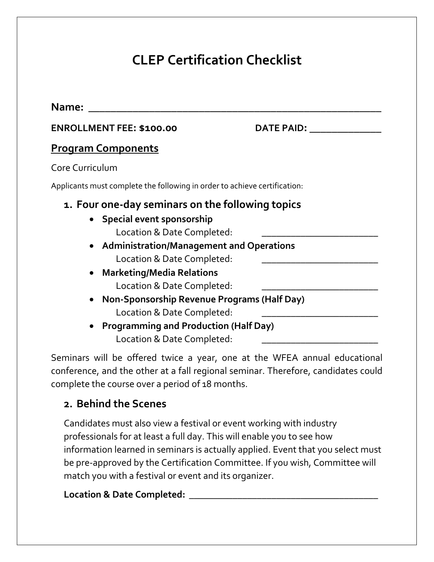# **CLEP Certification Checklist**

| Name:                                                                                                                                                                                                                                                                                                                                                                                                                  |                   |
|------------------------------------------------------------------------------------------------------------------------------------------------------------------------------------------------------------------------------------------------------------------------------------------------------------------------------------------------------------------------------------------------------------------------|-------------------|
| <b>ENROLLMENT FEE: \$100.00</b>                                                                                                                                                                                                                                                                                                                                                                                        | <b>DATE PAID:</b> |
| <b>Program Components</b>                                                                                                                                                                                                                                                                                                                                                                                              |                   |
| Core Curriculum                                                                                                                                                                                                                                                                                                                                                                                                        |                   |
| Applicants must complete the following in order to achieve certification:                                                                                                                                                                                                                                                                                                                                              |                   |
| 1. Four one-day seminars on the following topics<br>• Special event sponsorship<br>Location & Date Completed:<br>• Administration/Management and Operations<br>Location & Date Completed:<br><b>Marketing/Media Relations</b><br>Location & Date Completed:<br>Non-Sponsorship Revenue Programs (Half Day)<br>Location & Date Completed:<br><b>Programming and Production (Half Day)</b><br>Location & Date Completed: |                   |

Seminars will be offered twice a year, one at the WFEA annual educational conference, and the other at a fall regional seminar. Therefore, candidates could complete the course over a period of 18 months.

## **2. Behind the Scenes**

Candidates must also view a festival or event working with industry professionals for at least a full day. This will enable you to see how information learned in seminars is actually applied. Event that you select must be pre-approved by the Certification Committee. If you wish, Committee will match you with a festival or event and its organizer.

#### **Location & Date Completed: \_\_\_\_\_\_\_\_\_\_\_\_\_\_\_\_\_\_\_\_\_\_\_\_\_\_\_\_\_\_\_\_\_\_\_\_\_\_\_**